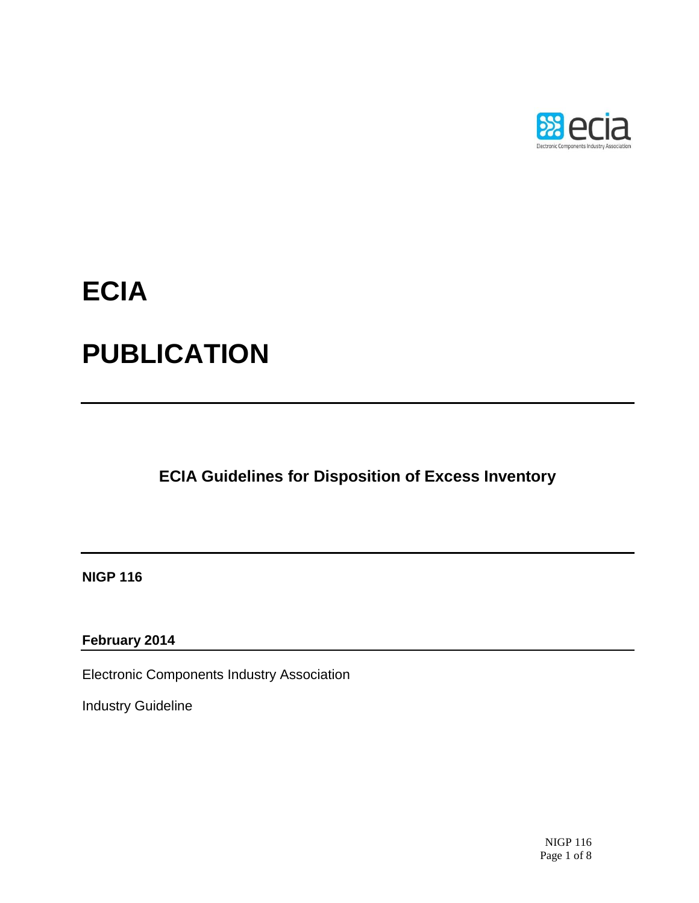

# **ECIA**

## **PUBLICATION**

**ECIA Guidelines for Disposition of Excess Inventory**

**NIGP 116**

**February 2014**

Electronic Components Industry Association

Industry Guideline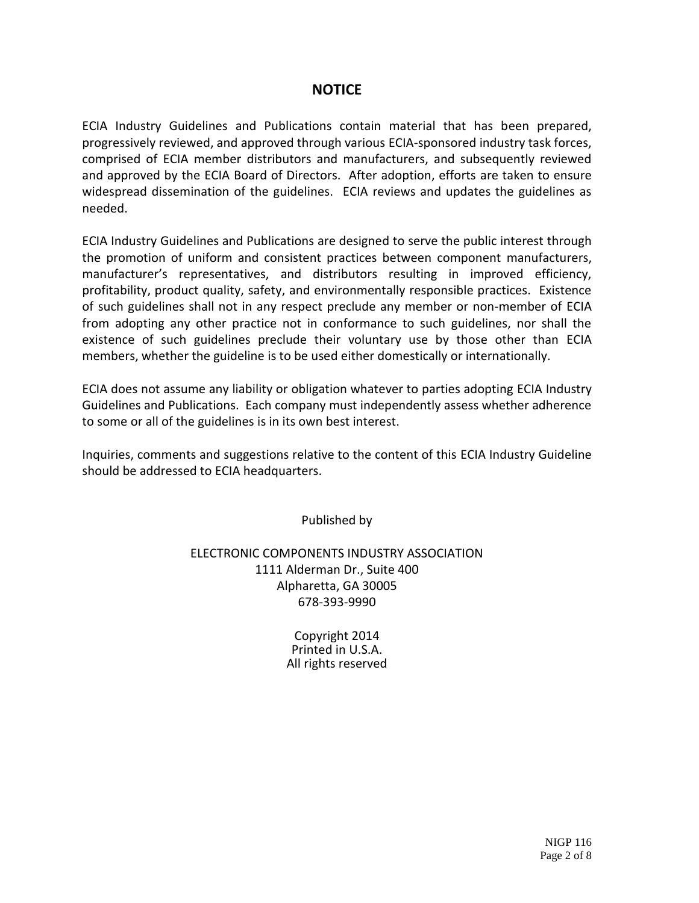#### **NOTICE**

ECIA Industry Guidelines and Publications contain material that has been prepared, progressively reviewed, and approved through various ECIA-sponsored industry task forces, comprised of ECIA member distributors and manufacturers, and subsequently reviewed and approved by the ECIA Board of Directors. After adoption, efforts are taken to ensure widespread dissemination of the guidelines. ECIA reviews and updates the guidelines as needed.

ECIA Industry Guidelines and Publications are designed to serve the public interest through the promotion of uniform and consistent practices between component manufacturers, manufacturer's representatives, and distributors resulting in improved efficiency, profitability, product quality, safety, and environmentally responsible practices. Existence of such guidelines shall not in any respect preclude any member or non-member of ECIA from adopting any other practice not in conformance to such guidelines, nor shall the existence of such guidelines preclude their voluntary use by those other than ECIA members, whether the guideline is to be used either domestically or internationally.

ECIA does not assume any liability or obligation whatever to parties adopting ECIA Industry Guidelines and Publications. Each company must independently assess whether adherence to some or all of the guidelines is in its own best interest.

Inquiries, comments and suggestions relative to the content of this ECIA Industry Guideline should be addressed to ECIA headquarters.

Published by

ELECTRONIC COMPONENTS INDUSTRY ASSOCIATION 1111 Alderman Dr., Suite 400 Alpharetta, GA 30005 678-393-9990

> Copyright 2014 Printed in U.S.A. All rights reserved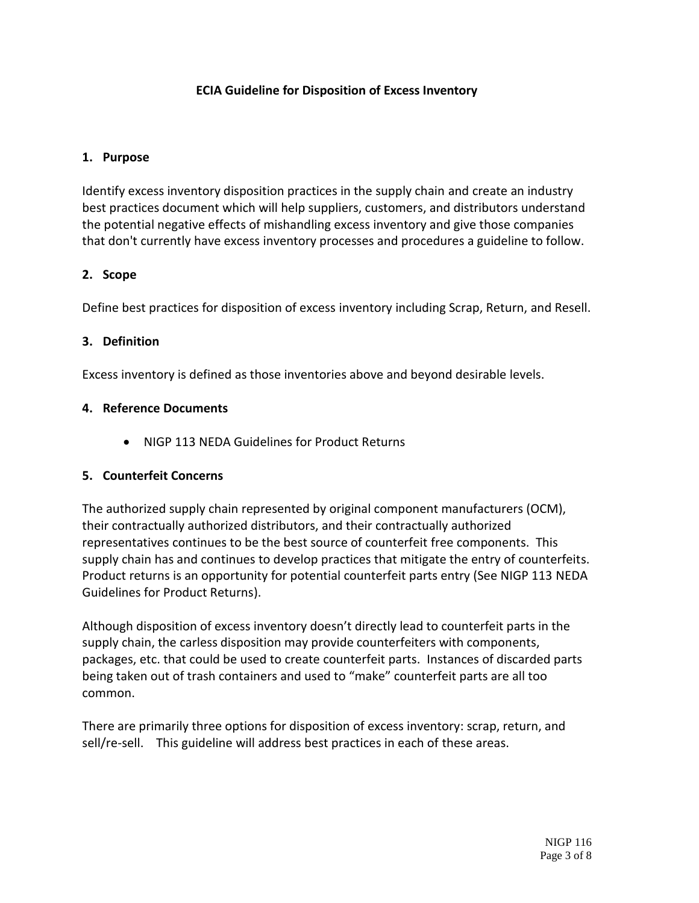#### **ECIA Guideline for Disposition of Excess Inventory**

#### **1. Purpose**

Identify excess inventory disposition practices in the supply chain and create an industry best practices document which will help suppliers, customers, and distributors understand the potential negative effects of mishandling excess inventory and give those companies that don't currently have excess inventory processes and procedures a guideline to follow.

#### **2. Scope**

Define best practices for disposition of excess inventory including Scrap, Return, and Resell.

#### **3. Definition**

Excess inventory is defined as those inventories above and beyond desirable levels.

#### **4. Reference Documents**

NIGP 113 NEDA Guidelines for Product Returns

#### **5. Counterfeit Concerns**

The authorized supply chain represented by original component manufacturers (OCM), their contractually authorized distributors, and their contractually authorized representatives continues to be the best source of counterfeit free components. This supply chain has and continues to develop practices that mitigate the entry of counterfeits. Product returns is an opportunity for potential counterfeit parts entry (See NIGP 113 NEDA Guidelines for Product Returns).

Although disposition of excess inventory doesn't directly lead to counterfeit parts in the supply chain, the carless disposition may provide counterfeiters with components, packages, etc. that could be used to create counterfeit parts. Instances of discarded parts being taken out of trash containers and used to "make" counterfeit parts are all too common.

There are primarily three options for disposition of excess inventory: scrap, return, and sell/re-sell. This guideline will address best practices in each of these areas.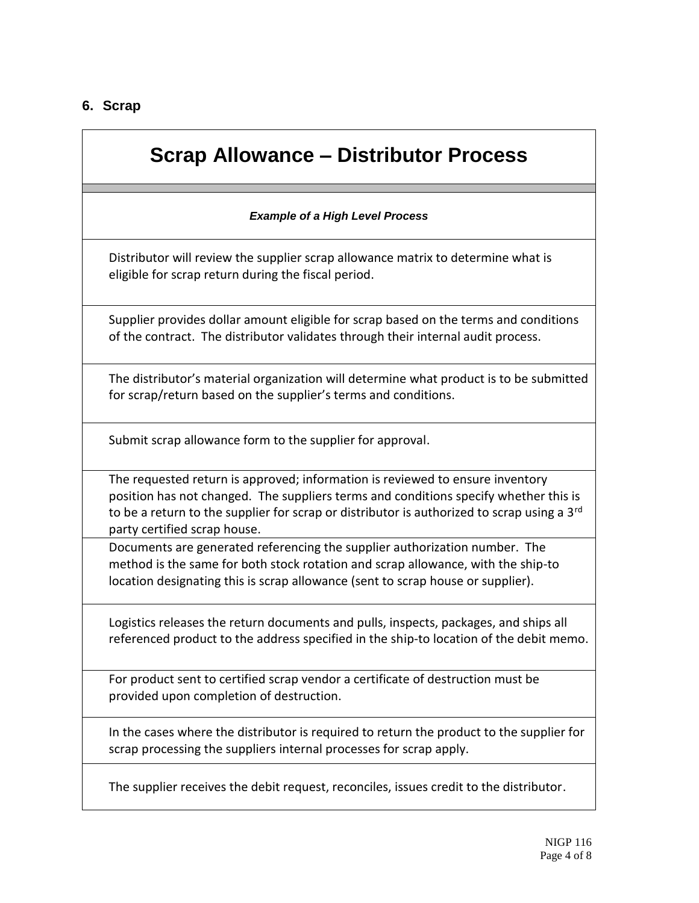#### **6. Scrap**

### **Scrap Allowance – Distributor Process**

#### *Example of a High Level Process*

Distributor will review the supplier scrap allowance matrix to determine what is eligible for scrap return during the fiscal period.

Supplier provides dollar amount eligible for scrap based on the terms and conditions of the contract. The distributor validates through their internal audit process.

The distributor's material organization will determine what product is to be submitted for scrap/return based on the supplier's terms and conditions.

Submit scrap allowance form to the supplier for approval.

The requested return is approved; information is reviewed to ensure inventory position has not changed. The suppliers terms and conditions specify whether this is to be a return to the supplier for scrap or distributor is authorized to scrap using a 3<sup>rd</sup> party certified scrap house.

Documents are generated referencing the supplier authorization number. The method is the same for both stock rotation and scrap allowance, with the ship-to location designating this is scrap allowance (sent to scrap house or supplier).

Logistics releases the return documents and pulls, inspects, packages, and ships all referenced product to the address specified in the ship-to location of the debit memo.

For product sent to certified scrap vendor a certificate of destruction must be provided upon completion of destruction.

In the cases where the distributor is required to return the product to the supplier for scrap processing the suppliers internal processes for scrap apply.

The supplier receives the debit request, reconciles, issues credit to the distributor.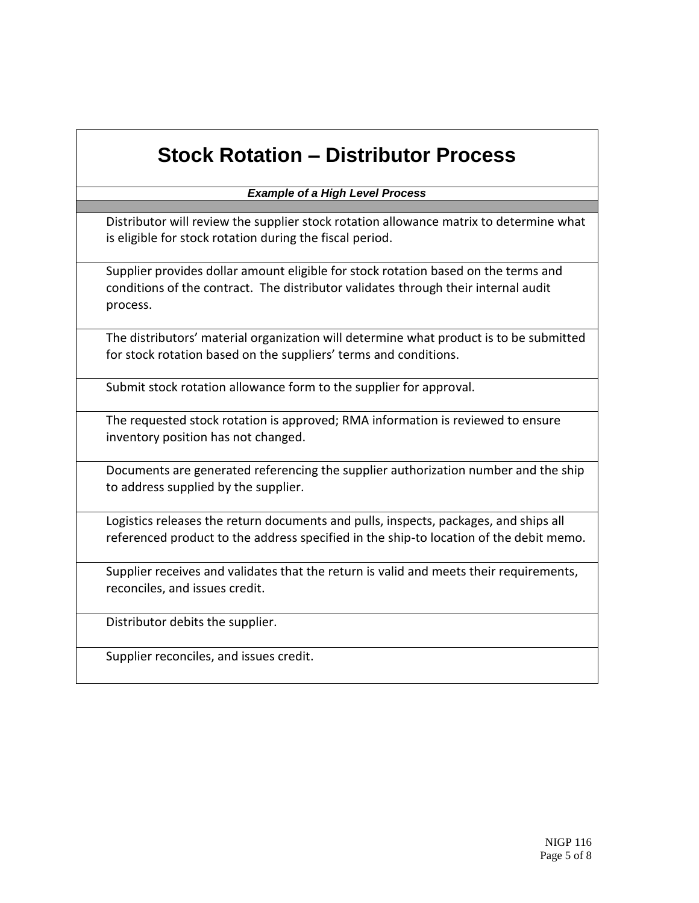### **Stock Rotation – Distributor Process**

*Example of a High Level Process*

Distributor will review the supplier stock rotation allowance matrix to determine what is eligible for stock rotation during the fiscal period.

Supplier provides dollar amount eligible for stock rotation based on the terms and conditions of the contract. The distributor validates through their internal audit process.

The distributors' material organization will determine what product is to be submitted for stock rotation based on the suppliers' terms and conditions.

Submit stock rotation allowance form to the supplier for approval.

The requested stock rotation is approved; RMA information is reviewed to ensure inventory position has not changed.

Documents are generated referencing the supplier authorization number and the ship to address supplied by the supplier.

Logistics releases the return documents and pulls, inspects, packages, and ships all referenced product to the address specified in the ship-to location of the debit memo.

Supplier receives and validates that the return is valid and meets their requirements, reconciles, and issues credit.

Distributor debits the supplier.

Supplier reconciles, and issues credit.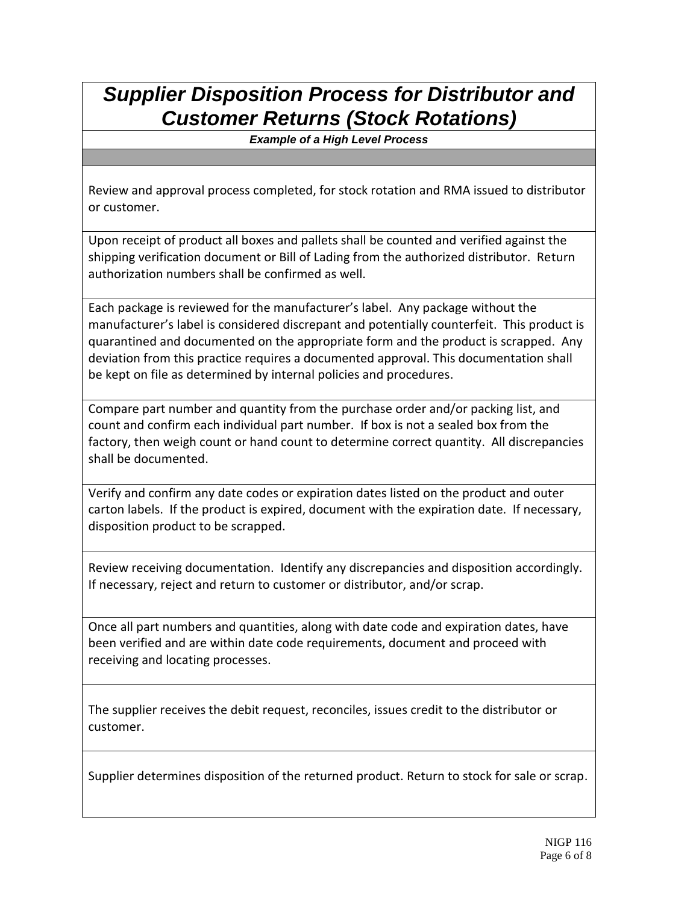### *Supplier Disposition Process for Distributor and Customer Returns (Stock Rotations)*

*Example of a High Level Process*

Review and approval process completed, for stock rotation and RMA issued to distributor or customer.

Upon receipt of product all boxes and pallets shall be counted and verified against the shipping verification document or Bill of Lading from the authorized distributor. Return authorization numbers shall be confirmed as well.

Each package is reviewed for the manufacturer's label. Any package without the manufacturer's label is considered discrepant and potentially counterfeit. This product is quarantined and documented on the appropriate form and the product is scrapped. Any deviation from this practice requires a documented approval. This documentation shall be kept on file as determined by internal policies and procedures.

Compare part number and quantity from the purchase order and/or packing list, and count and confirm each individual part number. If box is not a sealed box from the factory, then weigh count or hand count to determine correct quantity. All discrepancies shall be documented.

Verify and confirm any date codes or expiration dates listed on the product and outer carton labels. If the product is expired, document with the expiration date. If necessary, disposition product to be scrapped.

Review receiving documentation. Identify any discrepancies and disposition accordingly. If necessary, reject and return to customer or distributor, and/or scrap.

Once all part numbers and quantities, along with date code and expiration dates, have been verified and are within date code requirements, document and proceed with receiving and locating processes.

The supplier receives the debit request, reconciles, issues credit to the distributor or customer.

Supplier determines disposition of the returned product. Return to stock for sale or scrap.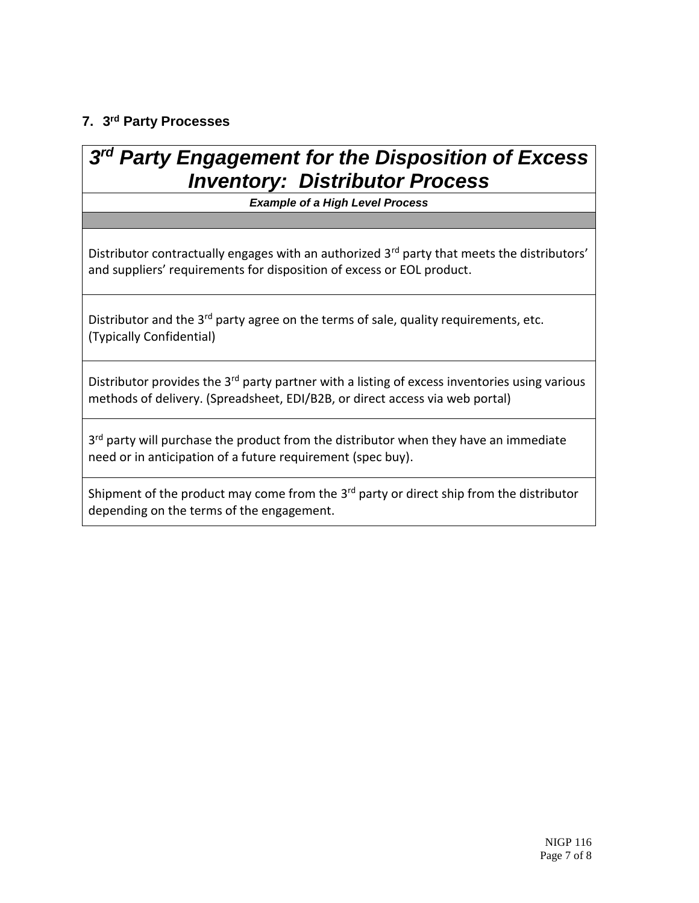#### **7. 3 rd Party Processes**

### *3 rd Party Engagement for the Disposition of Excess Inventory: Distributor Process*

*Example of a High Level Process*

Distributor contractually engages with an authorized 3<sup>rd</sup> party that meets the distributors' and suppliers' requirements for disposition of excess or EOL product.

Distributor and the 3<sup>rd</sup> party agree on the terms of sale, quality requirements, etc. (Typically Confidential)

Distributor provides the 3<sup>rd</sup> party partner with a listing of excess inventories using various methods of delivery. (Spreadsheet, EDI/B2B, or direct access via web portal)

3<sup>rd</sup> party will purchase the product from the distributor when they have an immediate need or in anticipation of a future requirement (spec buy).

Shipment of the product may come from the 3<sup>rd</sup> party or direct ship from the distributor depending on the terms of the engagement.